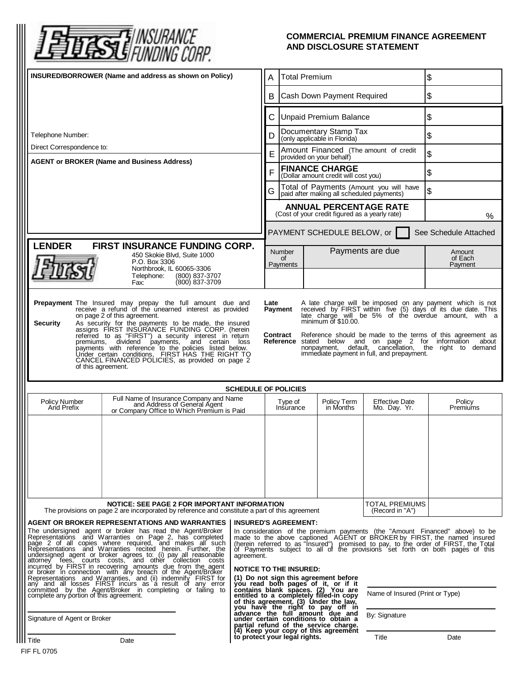

## **COMMERCIAL PREMIUM FINANCE AGREEMENT AND DISCLOSURE STATEMENT**

| INSURED/BORROWER (Name and address as shown on Policy)                                                                                                                                                                                                                                                                                                                                                                                                                                                                                                                                                                                                                                                                                                                                                                   |                                                                                                                       |                                                                                                                                                                                                                                                                                                                                                                                                                                                                                                                                                                                                                                                                                                                                                      | <b>Total Premium</b><br>A                                                       |                               |                                       | \$                    |
|--------------------------------------------------------------------------------------------------------------------------------------------------------------------------------------------------------------------------------------------------------------------------------------------------------------------------------------------------------------------------------------------------------------------------------------------------------------------------------------------------------------------------------------------------------------------------------------------------------------------------------------------------------------------------------------------------------------------------------------------------------------------------------------------------------------------------|-----------------------------------------------------------------------------------------------------------------------|------------------------------------------------------------------------------------------------------------------------------------------------------------------------------------------------------------------------------------------------------------------------------------------------------------------------------------------------------------------------------------------------------------------------------------------------------------------------------------------------------------------------------------------------------------------------------------------------------------------------------------------------------------------------------------------------------------------------------------------------------|---------------------------------------------------------------------------------|-------------------------------|---------------------------------------|-----------------------|
|                                                                                                                                                                                                                                                                                                                                                                                                                                                                                                                                                                                                                                                                                                                                                                                                                          |                                                                                                                       |                                                                                                                                                                                                                                                                                                                                                                                                                                                                                                                                                                                                                                                                                                                                                      | Cash Down Payment Required<br>B                                                 |                               |                                       | \$                    |
|                                                                                                                                                                                                                                                                                                                                                                                                                                                                                                                                                                                                                                                                                                                                                                                                                          |                                                                                                                       |                                                                                                                                                                                                                                                                                                                                                                                                                                                                                                                                                                                                                                                                                                                                                      | С                                                                               | <b>Unpaid Premium Balance</b> |                                       | \$                    |
| Telephone Number:                                                                                                                                                                                                                                                                                                                                                                                                                                                                                                                                                                                                                                                                                                                                                                                                        |                                                                                                                       | Documentary Stamp Tax<br>D<br>(only applicable in Florida)                                                                                                                                                                                                                                                                                                                                                                                                                                                                                                                                                                                                                                                                                           |                                                                                 | \$                            |                                       |                       |
| Direct Correspondence to:                                                                                                                                                                                                                                                                                                                                                                                                                                                                                                                                                                                                                                                                                                                                                                                                |                                                                                                                       |                                                                                                                                                                                                                                                                                                                                                                                                                                                                                                                                                                                                                                                                                                                                                      | Amount Financed (The amount of credit<br>E<br>provided on your behalf)          |                               | \$                                    |                       |
| <b>AGENT or BROKER (Name and Business Address)</b>                                                                                                                                                                                                                                                                                                                                                                                                                                                                                                                                                                                                                                                                                                                                                                       |                                                                                                                       |                                                                                                                                                                                                                                                                                                                                                                                                                                                                                                                                                                                                                                                                                                                                                      | <b>FINANCE CHARGE</b><br>F<br>(Dollar amount credit will cost you)              |                               | \$                                    |                       |
|                                                                                                                                                                                                                                                                                                                                                                                                                                                                                                                                                                                                                                                                                                                                                                                                                          | Total of Payments (Amount you will have<br>G<br>paid after making all scheduled payments)                             |                                                                                                                                                                                                                                                                                                                                                                                                                                                                                                                                                                                                                                                                                                                                                      |                                                                                 | \$                            |                                       |                       |
|                                                                                                                                                                                                                                                                                                                                                                                                                                                                                                                                                                                                                                                                                                                                                                                                                          |                                                                                                                       |                                                                                                                                                                                                                                                                                                                                                                                                                                                                                                                                                                                                                                                                                                                                                      | <b>ANNUAL PERCENTAGE RATE</b><br>(Cost of your credit figured as a yearly rate) |                               |                                       | $\%$                  |
|                                                                                                                                                                                                                                                                                                                                                                                                                                                                                                                                                                                                                                                                                                                                                                                                                          |                                                                                                                       |                                                                                                                                                                                                                                                                                                                                                                                                                                                                                                                                                                                                                                                                                                                                                      |                                                                                 | PAYMENT SCHEDULE BELOW, or    |                                       | See Schedule Attached |
| <b>LENDER</b><br>FIRST INSURANCE FUNDING CORP.<br>450 Skokie Blvd, Suite 1000<br>P.O. Box 3306                                                                                                                                                                                                                                                                                                                                                                                                                                                                                                                                                                                                                                                                                                                           |                                                                                                                       |                                                                                                                                                                                                                                                                                                                                                                                                                                                                                                                                                                                                                                                                                                                                                      | <b>Number</b><br>of                                                             |                               | Payments are due                      | Amount<br>of Each     |
|                                                                                                                                                                                                                                                                                                                                                                                                                                                                                                                                                                                                                                                                                                                                                                                                                          |                                                                                                                       | Payments                                                                                                                                                                                                                                                                                                                                                                                                                                                                                                                                                                                                                                                                                                                                             |                                                                                 |                               | Payment                               |                       |
| <b>Security</b><br>As security for the payments to be made, the insured<br>assigns FIRST INSURANCE FUNDING CORP. (herein<br>referred to as "FIRST") a security interest in return<br><b>Contract</b> Reference should be made to the terms of this agreement as Reference stated below and on page 2 for information about<br>premiums, dividend payments, and certain loss<br>default, cancellation, the right to demand<br>nonpayment,<br>payments with reference to the policies listed below.<br>Under certain conditions, FIRST HAS THE RIGHT TO<br>immediate payment in full, and prepayment.<br>CANCEL FINANCED POLICIES, as provided on page 2<br>of this agreement.                                                                                                                                             |                                                                                                                       |                                                                                                                                                                                                                                                                                                                                                                                                                                                                                                                                                                                                                                                                                                                                                      |                                                                                 |                               |                                       |                       |
| <b>SCHEDULE OF POLICIES</b>                                                                                                                                                                                                                                                                                                                                                                                                                                                                                                                                                                                                                                                                                                                                                                                              |                                                                                                                       |                                                                                                                                                                                                                                                                                                                                                                                                                                                                                                                                                                                                                                                                                                                                                      |                                                                                 |                               |                                       |                       |
| <b>Policy Number</b><br>And Prefix                                                                                                                                                                                                                                                                                                                                                                                                                                                                                                                                                                                                                                                                                                                                                                                       | Full Name of Insurance Company and Name<br>and Address of General Agent<br>or Company Office to Which Premium is Paid |                                                                                                                                                                                                                                                                                                                                                                                                                                                                                                                                                                                                                                                                                                                                                      | Type of<br>Insurance                                                            | Policy Term<br>in Months      | <b>Effective Date</b><br>Mo. Day. Yr. | Policy<br>Premiums    |
|                                                                                                                                                                                                                                                                                                                                                                                                                                                                                                                                                                                                                                                                                                                                                                                                                          |                                                                                                                       |                                                                                                                                                                                                                                                                                                                                                                                                                                                                                                                                                                                                                                                                                                                                                      |                                                                                 |                               |                                       |                       |
| NOTICE: SEE PAGE 2 FOR IMPORTANT INFORMATION<br>The provisions on page 2 are incorporated by reference and constitute a part of this agreement                                                                                                                                                                                                                                                                                                                                                                                                                                                                                                                                                                                                                                                                           |                                                                                                                       |                                                                                                                                                                                                                                                                                                                                                                                                                                                                                                                                                                                                                                                                                                                                                      |                                                                                 |                               | TOTAL PREMIUMS<br>(Record in "A")     |                       |
| AGENT OR BROKER REPRESENTATIONS AND WARRANTIES<br>The undersigned agent or broker has read the Agent/Broker<br>Representations and Warranties on Page 2, has completed<br>page 2 of all copies where required, and makes all such Representations and Warranties recited herein. Further, the undersigned agent or broker agrees to: (i) pay all reasonable<br>attorney fees, courts costs, and other collection costs<br>incurred by FIRST in recovering amounts due from the agent<br>or broker in connection, with any breach of the Agent/Broker<br>Representations and Warranties, and (ii) indemnify FIRST for<br>any and all losses FIRST incurs as a result of any error<br>committed by the Agent/Broker in completing or failing to<br>complete any portion of this agreement.<br>Signature of Agent or Broker |                                                                                                                       | <b>INSURED'S AGREEMENT:</b><br>In consideration of the premium payments (the "Amount Financed" above) to be made to the above captioned AGENT or BROKER by FIRST, the named insured<br>(herein referred to as "Insured") promised to pay, to the order of FIRST, the Total of Payments subject to all of the provisions set forth on both pages of this<br>agreement.<br><b>NOTICE TO THE INSURED:</b><br>(1) Do not sign this agreement before<br>(1) bo in sign and both pages of it, or if it<br>contains blank spaces. (2) You are<br>entitled to a completely filled-in copy<br>of this agreement. (3) Under the law,<br>you have the right to pay off in<br>advance the full amount due an<br>Name of Insured (Print or Type)<br>By: Signature |                                                                                 |                               |                                       |                       |
|                                                                                                                                                                                                                                                                                                                                                                                                                                                                                                                                                                                                                                                                                                                                                                                                                          | to protect your legal rights.                                                                                         |                                                                                                                                                                                                                                                                                                                                                                                                                                                                                                                                                                                                                                                                                                                                                      | partial refund of the service charge.<br>(4) Keep your copy of this agreement   | Title                         | Date                                  |                       |
| Title<br>IF FL 0705                                                                                                                                                                                                                                                                                                                                                                                                                                                                                                                                                                                                                                                                                                                                                                                                      | Date                                                                                                                  |                                                                                                                                                                                                                                                                                                                                                                                                                                                                                                                                                                                                                                                                                                                                                      |                                                                                 |                               |                                       |                       |